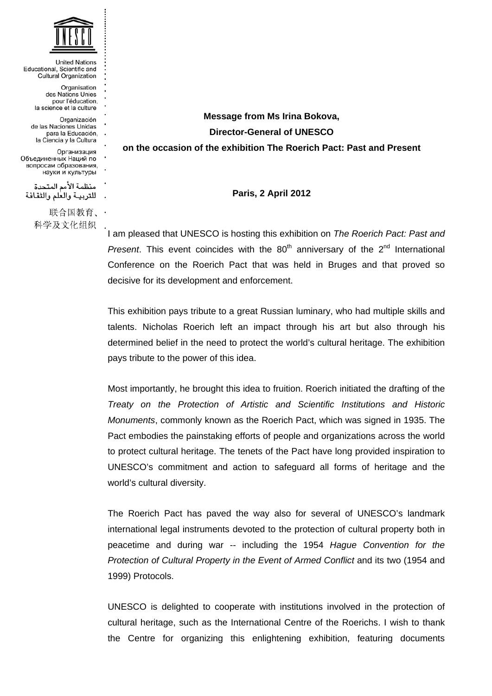

**United Nations** Educational, Scientific and Cultural Organization Organisation des Nations Unies pour l'éducation, la science et la culture Organización de las Naciones Unidas para la Educación. la Ciencia y la Cultura Организация Объединенных Наций по вопросам образования, науки и культуры منظمة الأمم المتحدة للتربيـة والعلم والثقافة 联合国教育、 科学及文化组织

**Message from Ms Irina Bokova, Director-General of UNESCO on the occasion of the exhibition The Roerich Pact: Past and Present** 

**Paris, 2 April 2012** 

I am pleased that UNESCO is hosting this exhibition on *The Roerich Pact: Past and Present*. This event coincides with the  $80<sup>th</sup>$  anniversary of the  $2<sup>nd</sup>$  International Conference on the Roerich Pact that was held in Bruges and that proved so decisive for its development and enforcement.

This exhibition pays tribute to a great Russian luminary, who had multiple skills and talents. Nicholas Roerich left an impact through his art but also through his determined belief in the need to protect the world's cultural heritage. The exhibition pays tribute to the power of this idea.

Most importantly, he brought this idea to fruition. Roerich initiated the drafting of the *Treaty on the Protection of Artistic and Scientific Institutions and Historic Monuments*, commonly known as the Roerich Pact, which was signed in 1935. The Pact embodies the painstaking efforts of people and organizations across the world to protect cultural heritage. The tenets of the Pact have long provided inspiration to UNESCO's commitment and action to safeguard all forms of heritage and the world's cultural diversity.

The Roerich Pact has paved the way also for several of UNESCO's landmark international legal instruments devoted to the protection of cultural property both in peacetime and during war -- including the 1954 *Hague Convention for the Protection of Cultural Property in the Event of Armed Conflict* and its two (1954 and 1999) Protocols.

UNESCO is delighted to cooperate with institutions involved in the protection of cultural heritage, such as the International Centre of the Roerichs. I wish to thank the Centre for organizing this enlightening exhibition, featuring documents